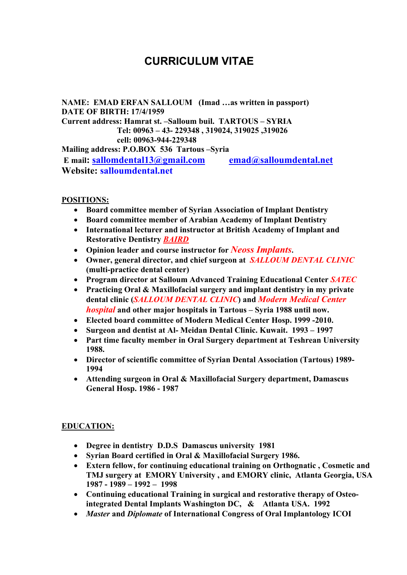# **CURRICULUM VITAE**

**NAME: EMAD ERFAN SALLOUM (Imad …as written in passport) DATE OF BIRTH: 17/4/1959 Current address: Hamrat st. –Salloum buil. TARTOUS – SYRIA Tel: 00963 – 43- 229348 , 319024, 319025 ,319026 cell: 00963-944-229348 Mailing address: P.O.BOX 536 Tartous –Syria E mail: sallomdental13@gmail.com emad@salloumdental.net Website: salloumdental.net**

**POSITIONS:** 

- **Board committee member of Syrian Association of Implant Dentistry**
- **Board committee member of Arabian Academy of Implant Dentistry**
- **International lecturer and instructor at British Academy of Implant and Restorative Dentistry** *BAIRD*
- **Opinion leader and course instructor for** *Neoss Implants***.**
- **Owner, general director, and chief surgeon at** *SALLOUM DENTAL CLINIC* **(multi-practice dental center)**
- **Program director at Salloum Advanced Training Educational Center** *SATEC*
- **Practicing Oral & Maxillofacial surgery and implant dentistry in my private dental clinic (***SALLOUM DENTAL CLINIC***) and** *Modern Medical Center hospital* **and other major hospitals in Tartous – Syria 1988 until now.**
- **Elected board committee of Modern Medical Center Hosp. 1999 -2010.**
- **Surgeon and dentist at Al- Meidan Dental Clinic. Kuwait. 1993 – 1997**
- **Part time faculty member in Oral Surgery department at Teshrean University 1988.**
- **Director of scientific committee of Syrian Dental Association (Tartous) 1989- 1994**
- **Attending surgeon in Oral & Maxillofacial Surgery department, Damascus General Hosp. 1986 - 1987**

#### **EDUCATION:**

- **Degree in dentistry D.D.S Damascus university 1981**
- **Syrian Board certified in Oral & Maxillofacial Surgery 1986.**
- **Extern fellow, for continuing educational training on Orthognatic , Cosmetic and TMJ surgery at EMORY University , and EMORY clinic, Atlanta Georgia, USA 1987 - 1989 – 1992 – 1998**
- **Continuing educational Training in surgical and restorative therapy of Osteointegrated Dental Implants Washington DC, & Atlanta USA. 1992**
- *Master* **and** *Diplomate* **of International Congress of Oral Implantology ICOI**